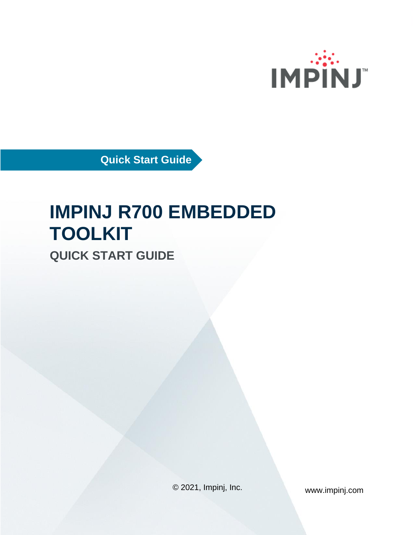

**Quick Start Guide**

# **IMPINJ R700 EMBEDDED TOOLKIT**

**QUICK START GUIDE**

© 2021, Impinj, Inc. www.impinj.com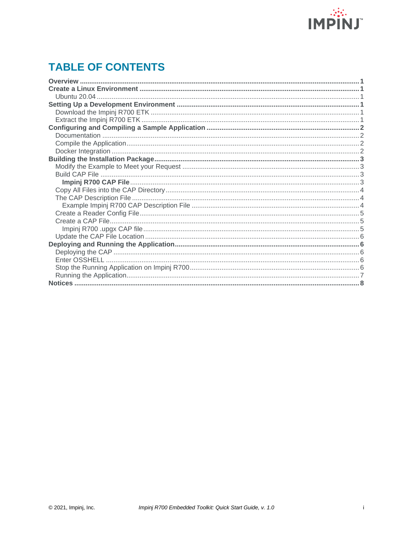

# **TABLE OF CONTENTS**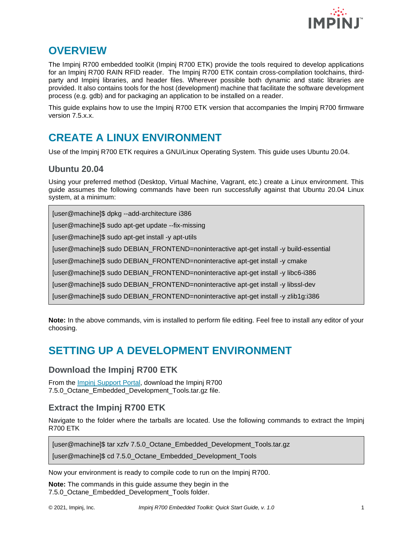

## <span id="page-2-0"></span>**OVERVIEW**

The Impinj R700 embedded toolKit (Impinj R700 ETK) provide the tools required to develop applications for an Impinj R700 RAIN RFID reader. The Impinj R700 ETK contain cross-compilation toolchains, thirdparty and Impinj libraries, and header files. Wherever possible both dynamic and static libraries are provided. It also contains tools for the host (development) machine that facilitate the software development process (e.g. gdb) and for packaging an application to be installed on a reader.

This guide explains how to use the Impinj R700 ETK version that accompanies the Impinj R700 firmware version 7.5.x.x.

# <span id="page-2-1"></span>**CREATE A LINUX ENVIRONMENT**

Use of the Impinj R700 ETK requires a GNU/Linux Operating System. This guide uses Ubuntu 20.04.

#### <span id="page-2-2"></span>**Ubuntu 20.04**

Using your preferred method (Desktop, Virtual Machine, Vagrant, etc.) create a Linux environment. This guide assumes the following commands have been run successfully against that Ubuntu 20.04 Linux system, at a minimum:

[user@machine]\$ dpkg --add-architecture i386

[user@machine]\$ sudo apt-get update --fix-missing

[user@machine]\$ sudo apt-get install -y apt-utils

[user@machine]\$ sudo DEBIAN\_FRONTEND=noninteractive apt-get install -y build-essential

[user@machine]\$ sudo DEBIAN\_FRONTEND=noninteractive apt-get install -y cmake

[user@machine]\$ sudo DEBIAN\_FRONTEND=noninteractive apt-get install -y libc6-i386

[user@machine]\$ sudo DEBIAN\_FRONTEND=noninteractive apt-get install -y libssl-dev

[user@machine]\$ sudo DEBIAN\_FRONTEND=noninteractive apt-get install -y zlib1g:i386

**Note:** In the above commands, vim is installed to perform file editing. Feel free to install any editor of your choosing.

## <span id="page-2-3"></span>**SETTING UP A DEVELOPMENT ENVIRONMENT**

#### <span id="page-2-4"></span>**Download the Impinj R700 ETK**

From the [Impinj Support Portal,](https://support.impinj.com/hc/en-us/articles/360011676720-Impinj-R700-Reader-Documents-Downloads) download the Impinj R700 7.5.0 Octane Embedded Development Tools.tar.gz file.

#### <span id="page-2-5"></span>**Extract the Impinj R700 ETK**

Navigate to the folder where the tarballs are located. Use the following commands to extract the Impinj R700 ETK

[user@machine]\$ tar xzfv 7.5.0\_Octane\_Embedded\_Development\_Tools.tar.gz

[user@machine]\$ cd 7.5.0\_Octane\_Embedded\_Development\_Tools

Now your environment is ready to compile code to run on the Impinj R700.

**Note:** The commands in this guide assume they begin in the 7.5.0 Octane Embedded Development Tools folder.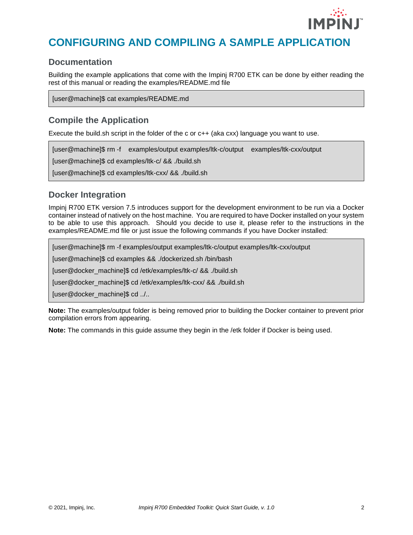

# <span id="page-3-0"></span>**CONFIGURING AND COMPILING A SAMPLE APPLICATION**

#### <span id="page-3-1"></span>**Documentation**

Building the example applications that come with the Impinj R700 ETK can be done by either reading the rest of this manual or reading the examples/README.md file

[user@machine]\$ cat examples/README.md

#### <span id="page-3-2"></span>**Compile the Application**

Execute the build.sh script in the folder of the c or  $c++$  (aka cxx) language you want to use.

[user@machine]\$ rm -f examples/output examples/ltk-c/output examples/ltk-cxx/output

[user@machine]\$ cd examples/ltk-c/ && ./build.sh

[user@machine]\$ cd examples/ltk-cxx/ && ./build.sh

#### <span id="page-3-3"></span>**Docker Integration**

Impinj R700 ETK version 7.5 introduces support for the development environment to be run via a Docker container instead of natively on the host machine. You are required to have Docker installed on your system to be able to use this approach. Should you decide to use it, please refer to the instructions in the examples/README.md file or just issue the following commands if you have Docker installed:

[user@machine]\$ rm -f examples/output examples/ltk-c/output examples/ltk-cxx/output

[user@machine]\$ cd examples && ./dockerized.sh /bin/bash

[user@docker\_machine]\$ cd /etk/examples/ltk-c/ && ./build.sh

[user@docker\_machine]\$ cd /etk/examples/ltk-cxx/ && ./build.sh

[user@docker\_machine]\$ cd ../..

**Note:** The examples/output folder is being removed prior to building the Docker container to prevent prior compilation errors from appearing.

**Note:** The commands in this guide assume they begin in the /etk folder if Docker is being used.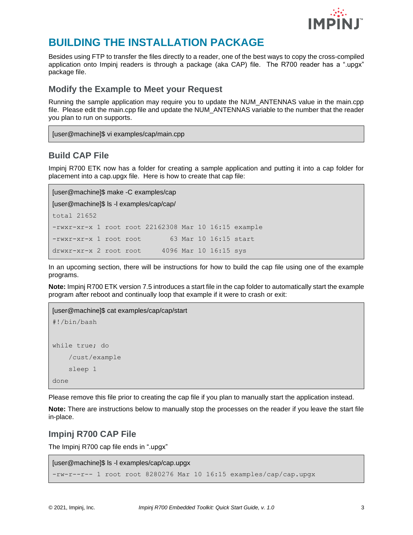

## <span id="page-4-0"></span>**BUILDING THE INSTALLATION PACKAGE**

Besides using FTP to transfer the files directly to a reader, one of the best ways to copy the cross-compiled application onto Impinj readers is through a package (aka CAP) file. The R700 reader has a ".upgx" package file.

#### <span id="page-4-1"></span>**Modify the Example to Meet your Request**

Running the sample application may require you to update the NUM\_ANTENNAS value in the main.cpp file. Please edit the main.cpp file and update the NUM\_ANTENNAS variable to the number that the reader you plan to run on supports.

[user@machine]\$ vi examples/cap/main.cpp

#### <span id="page-4-2"></span>**Build CAP File**

Impinj R700 ETK now has a folder for creating a sample application and putting it into a cap folder for placement into a cap.upgx file. Here is how to create that cap file:

```
[user@machine]$ make -C examples/cap
[user@machine]$ ls -l examples/cap/cap/
total 21652
-rwxr-xr-x 1 root root 22162308 Mar 10 16:15 example
-rwxr-xr-x 1 root root 63 Mar 10 16:15 start
drwxr-xr-x 2 root root 4096 Mar 10 16:15 sys
```
In an upcoming section, there will be instructions for how to build the cap file using one of the example programs.

**Note:** Impinj R700 ETK version 7.5 introduces a start file in the cap folder to automatically start the example program after reboot and continually loop that example if it were to crash or exit:

```
[user@machine]$ cat examples/cap/cap/start
#!/bin/bash
while true; do
     /cust/example
     sleep 1
done
```
Please remove this file prior to creating the cap file if you plan to manually start the application instead.

**Note:** There are instructions below to manually stop the processes on the reader if you leave the start file in-place.

#### <span id="page-4-3"></span>**Impinj R700 CAP File**

The Impinj R700 cap file ends in ".upgx"

```
[user@machine]$ ls -l examples/cap/cap.upgx
-rw-r--r-- 1 root root 8280276 Mar 10 16:15 examples/cap/cap.upgx
```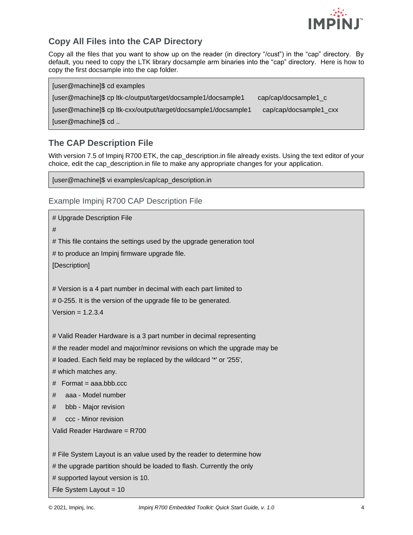

## <span id="page-5-0"></span>**Copy All Files into the CAP Directory**

Copy all the files that you want to show up on the reader (in directory "/cust") in the "cap" directory. By default, you need to copy the LTK library docsample arm binaries into the "cap" directory. Here is how to copy the first docsample into the cap folder.

[user@machine]\$ cd examples

[user@machine]\$ cp ltk-c/output/target/docsample1/docsample1 cap/cap/docsample1\_c [user@machine]\$ cp ltk-cxx/output/target/docsample1/docsample1 cap/cap/docsample1\_cxx

[user@machine]\$ cd ..

#### <span id="page-5-1"></span>**The CAP Description File**

With version 7.5 of Impinj R700 ETK, the cap\_description.in file already exists. Using the text editor of your choice, edit the cap\_description.in file to make any appropriate changes for your application.

[user@machine]\$ vi examples/cap/cap\_description.in

<span id="page-5-2"></span>Example Impinj R700 CAP Description File

# Upgrade Description File # # This file contains the settings used by the upgrade generation tool # to produce an Impinj firmware upgrade file. [Description] # Version is a 4 part number in decimal with each part limited to # 0-255. It is the version of the upgrade file to be generated.  $Version = 1.2.3.4$ # Valid Reader Hardware is a 3 part number in decimal representing # the reader model and major/minor revisions on which the upgrade may be # loaded. Each field may be replaced by the wildcard '\*' or '255', # which matches any.  $#$  Format = aaa.bbb.ccc # aaa - Model number # bbb - Major revision # ccc - Minor revision Valid Reader Hardware = R700 # File System Layout is an value used by the reader to determine how # the upgrade partition should be loaded to flash. Currently the only # supported layout version is 10. File System Layout = 10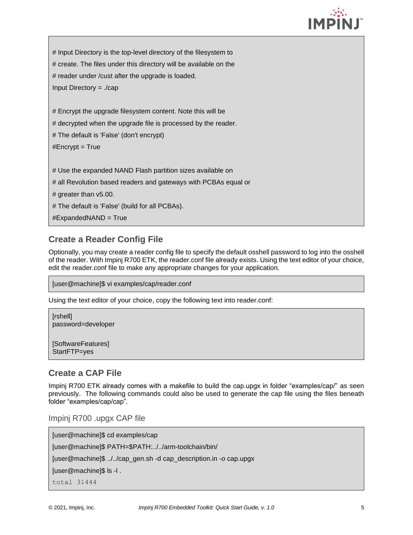

| # Input Directory is the top-level directory of the filesystem to |
|-------------------------------------------------------------------|
| # create. The files under this directory will be available on the |
| # reader under / cust after the upgrade is loaded.                |
| Input Directory = $\sqrt{cap}$                                    |
|                                                                   |
| # Encrypt the upgrade filesystem content. Note this will be       |
| # decrypted when the upgrade file is processed by the reader.     |
| # The default is 'False' (don't encrypt)                          |
| #Encrypt = $True$                                                 |
|                                                                   |
| # Use the expanded NAND Flash partition sizes available on        |
| # all Revolution based readers and gateways with PCBAs equal or   |
| # greater than $v5.00$ .                                          |
| # The default is 'False' (build for all PCBAs).                   |
| #ExpandedNAND = True                                              |

#### <span id="page-6-0"></span>**Create a Reader Config File**

Optionally, you may create a reader config file to specify the default osshell password to log into the osshell of the reader. With Impinj R700 ETK, the reader.conf file already exists. Using the text editor of your choice, edit the reader.conf file to make any appropriate changes for your application.

```
[user@machine]$ vi examples/cap/reader.conf
```
Using the text editor of your choice, copy the following text into reader.conf:

```
[rshell]
password=developer
```
[SoftwareFeatures] StartFTP=yes

#### <span id="page-6-1"></span>**Create a CAP File**

Impinj R700 ETK already comes with a makefile to build the cap.upgx in folder "examples/cap/" as seen previously. The following commands could also be used to generate the cap file using the files beneath folder "examples/cap/cap".

<span id="page-6-2"></span>Impinj R700 .upgx CAP file

```
[user@machine]$ cd examples/cap
[user@machine]$ PATH=$PATH:../../arm-toolchain/bin/
[user@machine]$ ../../cap_gen.sh -d cap_description.in -o cap.upgx
[user@machine]$ ls -l .
total 31444
```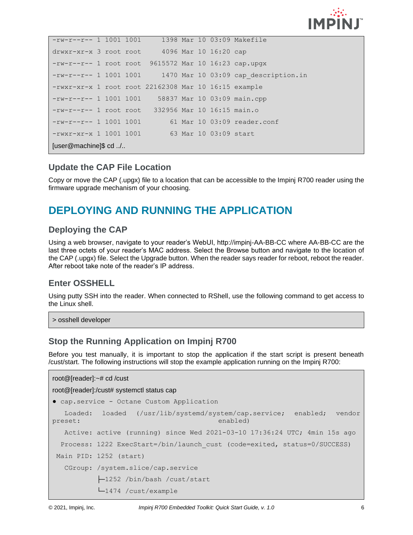

| $-rw-r--r--$ 1 1001 1001 1398 Mar 10 03:09 Makefile  |  |  |  |  |  |  |  |                                                            |
|------------------------------------------------------|--|--|--|--|--|--|--|------------------------------------------------------------|
| drwxr-xr-x 3 root root 4096 Mar 10 16:20 cap         |  |  |  |  |  |  |  |                                                            |
| $-rw-r-r--1$ root root 9615572 Mar 10 16:23 cap.upgx |  |  |  |  |  |  |  |                                                            |
|                                                      |  |  |  |  |  |  |  | $-rw-r-r-1$ 1001 1001 1470 Mar 10 03:09 cap description.in |
| -rwxr-xr-x 1 root root 22162308 Mar 10 16:15 example |  |  |  |  |  |  |  |                                                            |
| $-rw-r--r--$ 1 1001 1001 58837 Mar 10 03:09 main.cpp |  |  |  |  |  |  |  |                                                            |
| $-rw-r--r--1$ root root 332956 Mar 10 16:15 main.o   |  |  |  |  |  |  |  |                                                            |
| $-rw-r--r-- 1 1001 1001$                             |  |  |  |  |  |  |  | 61 Mar 10 03:09 reader.conf                                |
| $-rwxr-xr-x$ 1 1001 1001 63 Mar 10 03:09 start       |  |  |  |  |  |  |  |                                                            |
| [user@machine]\$ cd /                                |  |  |  |  |  |  |  |                                                            |

#### <span id="page-7-0"></span>**Update the CAP File Location**

Copy or move the CAP (.upgx) file to a location that can be accessible to the Impinj R700 reader using the firmware upgrade mechanism of your choosing.

## <span id="page-7-1"></span>**DEPLOYING AND RUNNING THE APPLICATION**

#### <span id="page-7-2"></span>**Deploying the CAP**

Using a web browser, navigate to your reader's WebUI, http://impinj-AA-BB-CC where AA-BB-CC are the last three octets of your reader's MAC address. Select the Browse button and navigate to the location of the CAP (.upgx) file. Select the Upgrade button. When the reader says reader for reboot, reboot the reader. After reboot take note of the reader's IP address.

#### <span id="page-7-3"></span>**Enter OSSHELL**

Using putty SSH into the reader. When connected to RShell, use the following command to get access to the Linux shell.

> osshell developer

#### <span id="page-7-4"></span>**Stop the Running Application on Impinj R700**

Before you test manually, it is important to stop the application if the start script is present beneath /cust/start. The following instructions will stop the example application running on the Impinj R700:

```
root@[reader]:~# cd /cust
root@[reader]:/cust# systemctl status cap
● cap.service - Octane Custom Application
  Loaded: loaded (/usr/lib/systemd/system/cap.service; enabled; vendor
preset: enabled)
   Active: active (running) since Wed 2021-03-10 17:36:24 UTC; 4min 15s ago
  Process: 1222 ExecStart=/bin/launch_cust (code=exited, status=0/SUCCESS)
Main PID: 1252 (start)
   CGroup: /system.slice/cap.service
            ├─1252 /bin/bash /cust/start
            └─1474 /cust/example
```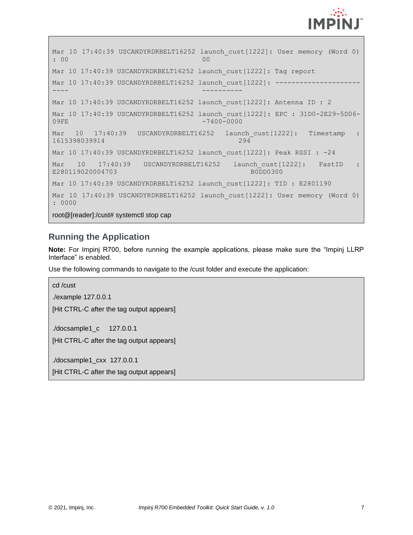

```
Mar 10 17:40:39 USCANDYRDRBELT16252 launch cust[1222]: User memory (Word 0)
: 00 00
Mar 10 17:40:39 USCANDYRDRBELT16252 launch cust[1222]: Tag report
Mar 10 17:40:39 USCANDYRDRBELT16252 launch cust[1222]: -------
---- ----------
Mar 10 17:40:39 USCANDYRDRBELT16252 launch cust[1222]: Antenna ID : 2
Mar 10 17:40:39 USCANDYRDRBELT16252 launch cust[1222]: EPC : 31D0-2E29-5D06-
09FE -7400-0000
Mar 10 17:40:39 USCANDYRDRBELT16252 launch cust[1222]: Timestamp :
1615398039914 294
Mar 10 17:40:39 USCANDYRDRBELT16252 launch cust[1222]: Peak RSSI : -24
Mar 10 17:40:39 USCANDYRDRBELT16252 launch cust[1222]: FastID :
E280119020004703 B0DD0300
Mar 10 17:40:39 USCANDYRDRBELT16252 launch cust[1222]: TID : E2801190
Mar 10 17:40:39 USCANDYRDRBELT16252 launch cust[1222]: User memory (Word 0)
: 0000
```
root@[reader]:/cust# systemctl stop cap

### <span id="page-8-0"></span>**Running the Application**

**Note:** For Impinj R700, before running the example applications, please make sure the "Impinj LLRP Interface" is enabled.

Use the following commands to navigate to the /cust folder and execute the application:

```
cd /cust
./example 127.0.0.1
[Hit CTRL-C after the tag output appears]
./docsample1_c 127.0.0.1
[Hit CTRL-C after the tag output appears]
./docsample1_cxx 127.0.0.1
```
[Hit CTRL-C after the tag output appears]